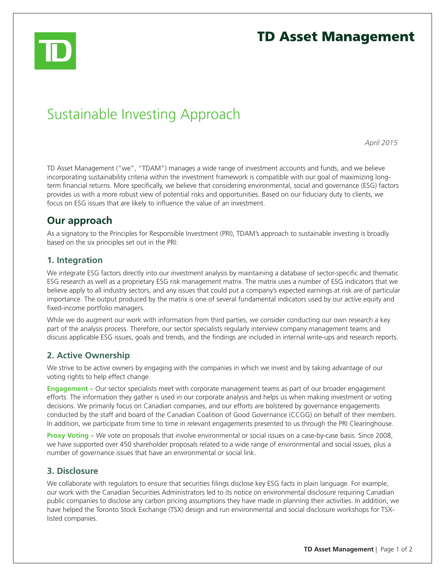

# **TD Asset Management**

# Sustainable Investing Approach

*April 2015*

TD Asset Management ("we", "TDAM") manages a wide range of investment accounts and funds, and we believe incorporating sustainability criteria within the investment framework is compatible with our goal of maximizing longterm financial returns. More specifically, we believe that considering environmental, social and governance (ESG) factors provides us with a more robust view of potential risks and opportunities. Based on our fiduciary duty to clients, we focus on ESG issues that are likely to influence the value of an investment.

# **Our approach**

As a signatory to the Principles for Responsible Investment (PRI), TDAM's approach to sustainable investing is broadly based on the six principles set out in the PRI:

#### **1. Integration**

We integrate ESG factors directly into our investment analysis by maintaining a database of sector-specific and thematic ESG research as well as a proprietary ESG risk management matrix. The matrix uses a number of ESG indicators that we believe apply to all industry sectors, and any issues that could put a company's expected earnings at risk are of particular importance. The output produced by the matrix is one of several fundamental indicators used by our active equity and fixed-income portfolio managers.

While we do augment our work with information from third parties, we consider conducting our own research a key part of the analysis process. Therefore, our sector specialists regularly interview company management teams and discuss applicable ESG issues, goals and trends, and the findings are included in internal write-ups and research reports.

## **2. Active Ownership**

We strive to be active owners by engaging with the companies in which we invest and by taking advantage of our voting rights to help effect change.

**Engagement** – Our sector specialists meet with corporate management teams as part of our broader engagement efforts. The information they gather is used in our corporate analysis and helps us when making investment or voting decisions. We primarily focus on Canadian companies, and our efforts are bolstered by governance engagements conducted by the staff and board of the Canadian Coalition of Good Governance (CCGG) on behalf of their members. In addition, we participate from time to time in relevant engagements presented to us through the PRI Clearinghouse.

**Proxy Voting** – We vote on proposals that involve environmental or social issues on a case-by-case basis. Since 2008, we have supported over 450 shareholder proposals related to a wide range of environmental and social issues, plus a number of governance issues that have an environmental or social link.

#### **3. Disclosure**

We collaborate with regulators to ensure that securities filings disclose key ESG facts in plain language. For example, our work with the Canadian Securities Administrators led to its notice on environmental disclosure requiring Canadian public companies to disclose any carbon pricing assumptions they have made in planning their activities. In addition, we have helped the Toronto Stock Exchange (TSX) design and run environmental and social disclosure workshops for TSXlisted companies.